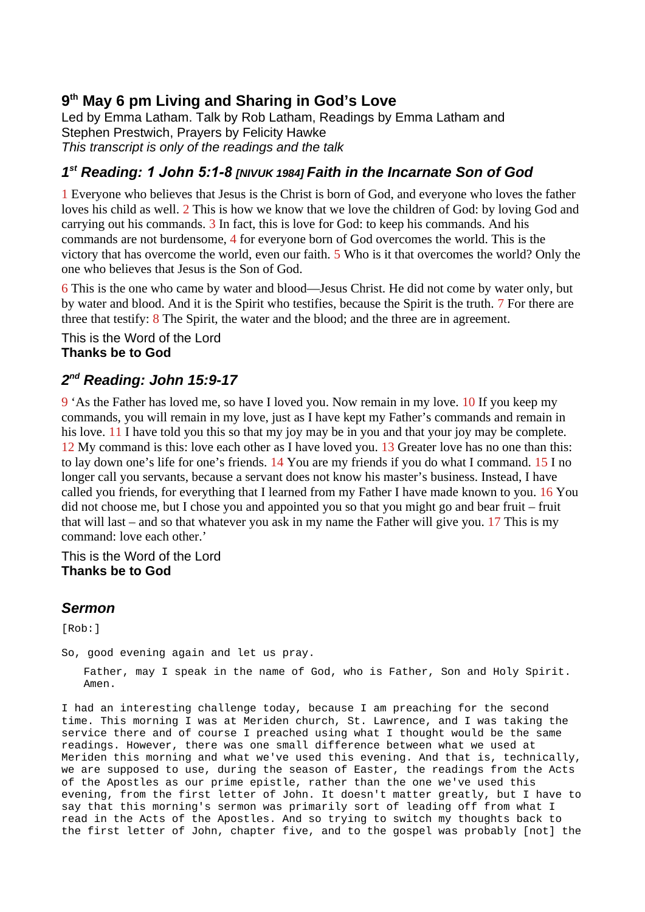## **9 th May 6 pm Living and Sharing in God's Love**

Led by Emma Latham. Talk by Rob Latham, Readings by Emma Latham and Stephen Prestwich, Prayers by Felicity Hawke *This transcript is only of the readings and the talk*

## *1 st Reading: 1 John 5:1-8 [NIVUK 1984] Faith in the Incarnate Son of God*

1 Everyone who believes that Jesus is the Christ is born of God, and everyone who loves the father loves his child as well. 2 This is how we know that we love the children of God: by loving God and carrying out his commands. 3 In fact, this is love for God: to keep his commands. And his commands are not burdensome, 4 for everyone born of God overcomes the world. This is the victory that has overcome the world, even our faith. 5 Who is it that overcomes the world? Only the one who believes that Jesus is the Son of God.

6 This is the one who came by water and blood—Jesus Christ. He did not come by water only, but by water and blood. And it is the Spirit who testifies, because the Spirit is the truth. 7 For there are three that testify: 8 The Spirit, the water and the blood; and the three are in agreement.

This is the Word of the Lord **Thanks be to God**

## *2 nd Reading: John 15:9-17*

9 'As the Father has loved me, so have I loved you. Now remain in my love. 10 If you keep my commands, you will remain in my love, just as I have kept my Father's commands and remain in his love. 11 I have told you this so that my joy may be in you and that your joy may be complete. 12 My command is this: love each other as I have loved you. 13 Greater love has no one than this: to lay down one's life for one's friends. 14 You are my friends if you do what I command. 15 I no longer call you servants, because a servant does not know his master's business. Instead, I have called you friends, for everything that I learned from my Father I have made known to you. 16 You did not choose me, but I chose you and appointed you so that you might go and bear fruit – fruit that will last – and so that whatever you ask in my name the Father will give you. 17 This is my command: love each other.'

This is the Word of the Lord **Thanks be to God**

## *Sermon*

[Rob:]

So, good evening again and let us pray.

Father, may I speak in the name of God, who is Father, Son and Holy Spirit. Amen.

I had an interesting challenge today, because I am preaching for the second time. This morning I was at Meriden church, St. Lawrence, and I was taking the service there and of course I preached using what I thought would be the same readings. However, there was one small difference between what we used at Meriden this morning and what we've used this evening. And that is, technically, we are supposed to use, during the season of Easter, the readings from the Acts of the Apostles as our prime epistle, rather than the one we've used this evening, from the first letter of John. It doesn't matter greatly, but I have to say that this morning's sermon was primarily sort of leading off from what I read in the Acts of the Apostles. And so trying to switch my thoughts back to the first letter of John, chapter five, and to the gospel was probably [not] the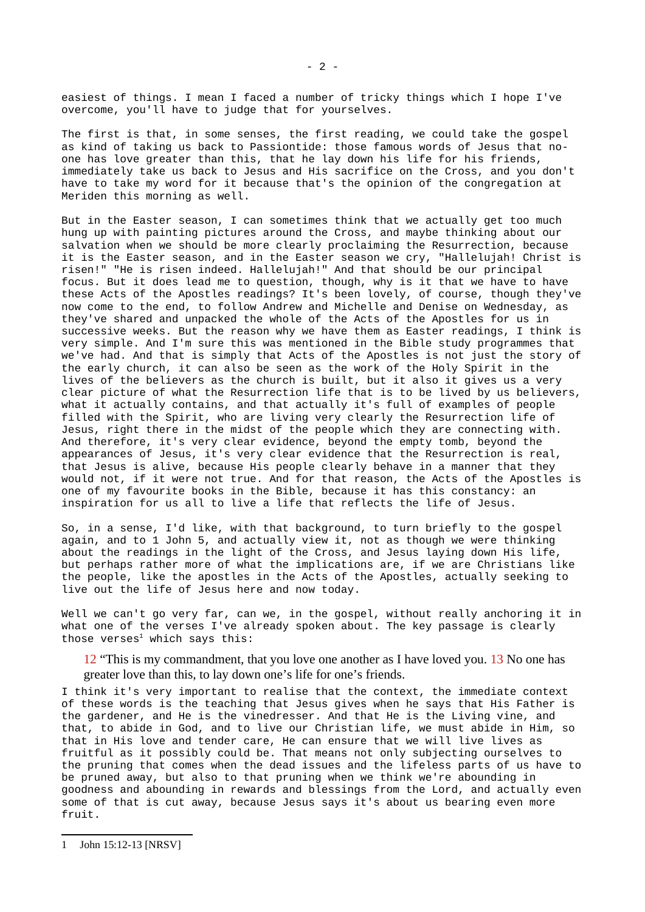easiest of things. I mean I faced a number of tricky things which I hope I've overcome, you'll have to judge that for yourselves.

The first is that, in some senses, the first reading, we could take the gospel as kind of taking us back to Passiontide: those famous words of Jesus that noone has love greater than this, that he lay down his life for his friends, immediately take us back to Jesus and His sacrifice on the Cross, and you don't have to take my word for it because that's the opinion of the congregation at Meriden this morning as well.

But in the Easter season, I can sometimes think that we actually get too much hung up with painting pictures around the Cross, and maybe thinking about our salvation when we should be more clearly proclaiming the Resurrection, because it is the Easter season, and in the Easter season we cry, "Hallelujah! Christ is risen!" "He is risen indeed. Hallelujah!" And that should be our principal focus. But it does lead me to question, though, why is it that we have to have these Acts of the Apostles readings? It's been lovely, of course, though they've now come to the end, to follow Andrew and Michelle and Denise on Wednesday, as they've shared and unpacked the whole of the Acts of the Apostles for us in successive weeks. But the reason why we have them as Easter readings, I think is very simple. And I'm sure this was mentioned in the Bible study programmes that we've had. And that is simply that Acts of the Apostles is not just the story of the early church, it can also be seen as the work of the Holy Spirit in the lives of the believers as the church is built, but it also it gives us a very clear picture of what the Resurrection life that is to be lived by us believers, what it actually contains, and that actually it's full of examples of people filled with the Spirit, who are living very clearly the Resurrection life of Jesus, right there in the midst of the people which they are connecting with. And therefore, it's very clear evidence, beyond the empty tomb, beyond the appearances of Jesus, it's very clear evidence that the Resurrection is real, that Jesus is alive, because His people clearly behave in a manner that they would not, if it were not true. And for that reason, the Acts of the Apostles is one of my favourite books in the Bible, because it has this constancy: an inspiration for us all to live a life that reflects the life of Jesus.

So, in a sense, I'd like, with that background, to turn briefly to the gospel again, and to 1 John 5, and actually view it, not as though we were thinking about the readings in the light of the Cross, and Jesus laying down His life, but perhaps rather more of what the implications are, if we are Christians like the people, like the apostles in the Acts of the Apostles, actually seeking to live out the life of Jesus here and now today.

Well we can't go very far, can we, in the gospel, without really anchoring it in what one of the verses I've already spoken about. The key passage is clearly those verses $1$  which says this:

12 "This is my commandment, that you love one another as I have loved you. 13 No one has greater love than this, to lay down one's life for one's friends.

I think it's very important to realise that the context, the immediate context of these words is the teaching that Jesus gives when he says that His Father is the gardener, and He is the vinedresser. And that He is the Living vine, and that, to abide in God, and to live our Christian life, we must abide in Him, so that in His love and tender care, He can ensure that we will live lives as fruitful as it possibly could be. That means not only subjecting ourselves to the pruning that comes when the dead issues and the lifeless parts of us have to be pruned away, but also to that pruning when we think we're abounding in goodness and abounding in rewards and blessings from the Lord, and actually even some of that is cut away, because Jesus says it's about us bearing even more fruit.

<span id="page-1-0"></span><sup>1</sup> John 15:12-13 [NRSV]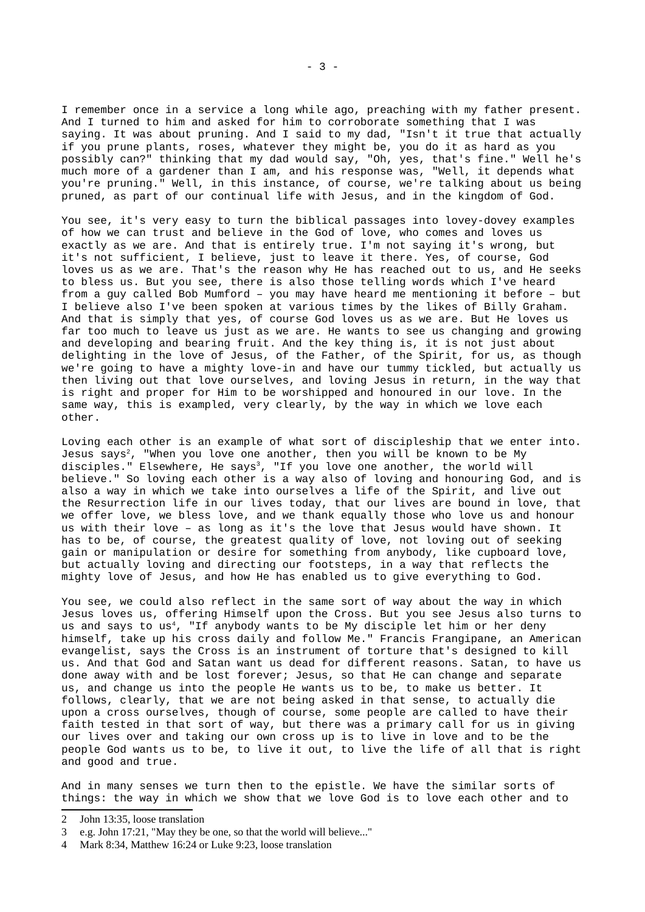I remember once in a service a long while ago, preaching with my father present. And I turned to him and asked for him to corroborate something that I was saying. It was about pruning. And I said to my dad, "Isn't it true that actually if you prune plants, roses, whatever they might be, you do it as hard as you possibly can?" thinking that my dad would say, "Oh, yes, that's fine." Well he's much more of a gardener than I am, and his response was, "Well, it depends what you're pruning." Well, in this instance, of course, we're talking about us being pruned, as part of our continual life with Jesus, and in the kingdom of God.

You see, it's very easy to turn the biblical passages into lovey-dovey examples of how we can trust and believe in the God of love, who comes and loves us exactly as we are. And that is entirely true. I'm not saying it's wrong, but it's not sufficient, I believe, just to leave it there. Yes, of course, God loves us as we are. That's the reason why He has reached out to us, and He seeks to bless us. But you see, there is also those telling words which I've heard from a guy called Bob Mumford – you may have heard me mentioning it before – but I believe also I've been spoken at various times by the likes of Billy Graham. And that is simply that yes, of course God loves us as we are. But He loves us far too much to leave us just as we are. He wants to see us changing and growing and developing and bearing fruit. And the key thing is, it is not just about delighting in the love of Jesus, of the Father, of the Spirit, for us, as though we're going to have a mighty love-in and have our tummy tickled, but actually us then living out that love ourselves, and loving Jesus in return, in the way that is right and proper for Him to be worshipped and honoured in our love. In the same way, this is exampled, very clearly, by the way in which we love each other.

Loving each other is an example of what sort of discipleship that we enter into. Jesus says<sup>[2](#page-2-0)</sup>, "When you love one another, then you will be known to be My disciples." Elsewhere, He says<sup>[3](#page-2-1)</sup>, "If you love one another, the world will believe." So loving each other is a way also of loving and honouring God, and is also a way in which we take into ourselves a life of the Spirit, and live out the Resurrection life in our lives today, that our lives are bound in love, that we offer love, we bless love, and we thank equally those who love us and honour us with their love – as long as it's the love that Jesus would have shown. It has to be, of course, the greatest quality of love, not loving out of seeking gain or manipulation or desire for something from anybody, like cupboard love, but actually loving and directing our footsteps, in a way that reflects the mighty love of Jesus, and how He has enabled us to give everything to God.

You see, we could also reflect in the same sort of way about the way in which Jesus loves us, offering Himself upon the Cross. But you see Jesus also turns to us and says to us<sup>[4](#page-2-2)</sup>, "If anybody wants to be My disciple let him or her deny himself, take up his cross daily and follow Me." Francis Frangipane, an American evangelist, says the Cross is an instrument of torture that's designed to kill us. And that God and Satan want us dead for different reasons. Satan, to have us done away with and be lost forever; Jesus, so that He can change and separate us, and change us into the people He wants us to be, to make us better. It follows, clearly, that we are not being asked in that sense, to actually die upon a cross ourselves, though of course, some people are called to have their faith tested in that sort of way, but there was a primary call for us in giving our lives over and taking our own cross up is to live in love and to be the people God wants us to be, to live it out, to live the life of all that is right and good and true.

And in many senses we turn then to the epistle. We have the similar sorts of things: the way in which we show that we love God is to love each other and to

<span id="page-2-0"></span><sup>2</sup> John 13:35, loose translation

<span id="page-2-1"></span><sup>3</sup> e.g. John 17:21, "May they be one, so that the world will believe..."

<span id="page-2-2"></span><sup>4</sup> Mark 8:34, Matthew 16:24 or Luke 9:23, loose translation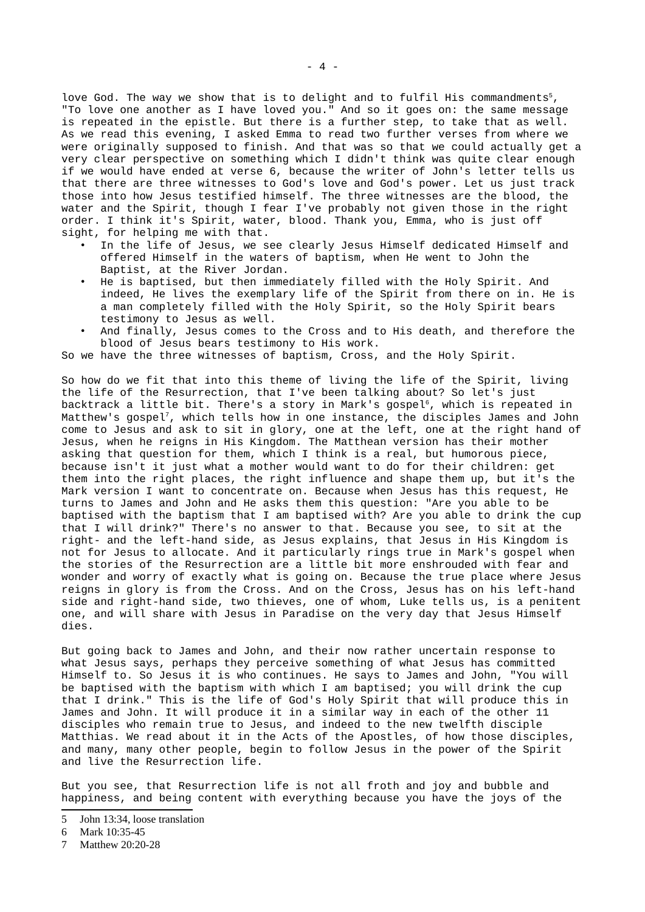love God. The way we show that is to delight and to fulfil His commandments<sup>[5](#page-3-0)</sup>, "To love one another as I have loved you." And so it goes on: the same message is repeated in the epistle. But there is a further step, to take that as well. As we read this evening, I asked Emma to read two further verses from where we were originally supposed to finish. And that was so that we could actually get a very clear perspective on something which I didn't think was quite clear enough if we would have ended at verse 6, because the writer of John's letter tells us that there are three witnesses to God's love and God's power. Let us just track those into how Jesus testified himself. The three witnesses are the blood, the water and the Spirit, though I fear I've probably not given those in the right order. I think it's Spirit, water, blood. Thank you, Emma, who is just off sight, for helping me with that.

- In the life of Jesus, we see clearly Jesus Himself dedicated Himself and offered Himself in the waters of baptism, when He went to John the Baptist, at the River Jordan.
- He is baptised, but then immediately filled with the Holy Spirit. And indeed, He lives the exemplary life of the Spirit from there on in. He is a man completely filled with the Holy Spirit, so the Holy Spirit bears testimony to Jesus as well.
- And finally, Jesus comes to the Cross and to His death, and therefore the blood of Jesus bears testimony to His work.

So we have the three witnesses of baptism, Cross, and the Holy Spirit.

So how do we fit that into this theme of living the life of the Spirit, living the life of the Resurrection, that I've been talking about? So let's just backtrack a little bit. There's a story in Mark's gospel<sup>[6](#page-3-1)</sup>, which is repeated in Matthew's gospel<sup>[7](#page-3-2)</sup>, which tells how in one instance, the disciples James and John come to Jesus and ask to sit in glory, one at the left, one at the right hand of Jesus, when he reigns in His Kingdom. The Matthean version has their mother asking that question for them, which I think is a real, but humorous piece, because isn't it just what a mother would want to do for their children: get them into the right places, the right influence and shape them up, but it's the Mark version I want to concentrate on. Because when Jesus has this request, He turns to James and John and He asks them this question: "Are you able to be baptised with the baptism that I am baptised with? Are you able to drink the cup that I will drink?" There's no answer to that. Because you see, to sit at the right- and the left-hand side, as Jesus explains, that Jesus in His Kingdom is not for Jesus to allocate. And it particularly rings true in Mark's gospel when the stories of the Resurrection are a little bit more enshrouded with fear and wonder and worry of exactly what is going on. Because the true place where Jesus reigns in glory is from the Cross. And on the Cross, Jesus has on his left-hand side and right-hand side, two thieves, one of whom, Luke tells us, is a penitent one, and will share with Jesus in Paradise on the very day that Jesus Himself dies.

But going back to James and John, and their now rather uncertain response to what Jesus says, perhaps they perceive something of what Jesus has committed Himself to. So Jesus it is who continues. He says to James and John, "You will be baptised with the baptism with which I am baptised; you will drink the cup that I drink." This is the life of God's Holy Spirit that will produce this in James and John. It will produce it in a similar way in each of the other 11 disciples who remain true to Jesus, and indeed to the new twelfth disciple Matthias. We read about it in the Acts of the Apostles, of how those disciples, and many, many other people, begin to follow Jesus in the power of the Spirit and live the Resurrection life.

But you see, that Resurrection life is not all froth and joy and bubble and happiness, and being content with everything because you have the joys of the

<span id="page-3-2"></span>7 Matthew 20:20-28

<span id="page-3-0"></span><sup>5</sup> John 13:34, loose translation

<span id="page-3-1"></span><sup>6</sup> Mark 10:35-45